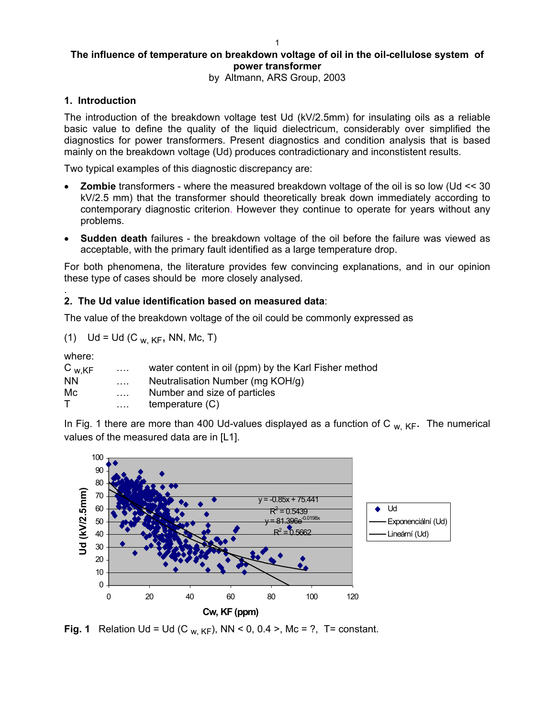# **The influence of temperature on breakdown voltage of oil in the oil-cellulose system of power transformer**

by Altmann, ARS Group, 2003

### **1. Introduction**

The introduction of the breakdown voltage test Ud (kV/2.5mm) for insulating oils as a reliable basic value to define the quality of the liquid dielectricum, considerably over simplified the diagnostics for power transformers. Present diagnostics and condition analysis that is based mainly on the breakdown voltage (Ud) produces contradictionary and inconstistent results.

Two typical examples of this diagnostic discrepancy are:

- **Zombie** transformers where the measured breakdown voltage of the oil is so low (Ud << 30 kV/2.5 mm) that the transformer should theoretically break down immediately according to contemporary diagnostic criterion. However they continue to operate for years without any problems.
- **Sudden death** failures the breakdown voltage of the oil before the failure was viewed as acceptable, with the primary fault identified as a large temperature drop.

For both phenomena, the literature provides few convincing explanations, and in our opinion these type of cases should be more closely analysed.

#### . **2. The Ud value identification based on measured data**:

The value of the breakdown voltage of the oil could be commonly expressed as

(1) 
$$
Ud = Ud(C_{W, KF}, NN, Mc, T)
$$

where:

| $C_{W,KF}$ | $\cdots$                  | water content in oil (ppm) by the Karl Fisher method |
|------------|---------------------------|------------------------------------------------------|
| <b>NN</b>  | $\sim 1.1\, \mathrm{m}$ . | Neutralisation Number (mg KOH/g)                     |
| Мc         | $\cdots$                  | Number and size of particles                         |
| т          | $\cdots$                  | temperature (C)                                      |

In Fig. 1 there are more than 400 Ud-values displayed as a function of C  $_{W,KF}$ . The numerical values of the measured data are in [L1].



**Fig. 1** Relation Ud = Ud (C <sub>w, KF</sub>), NN < 0, 0.4 >, Mc = ?, T= constant.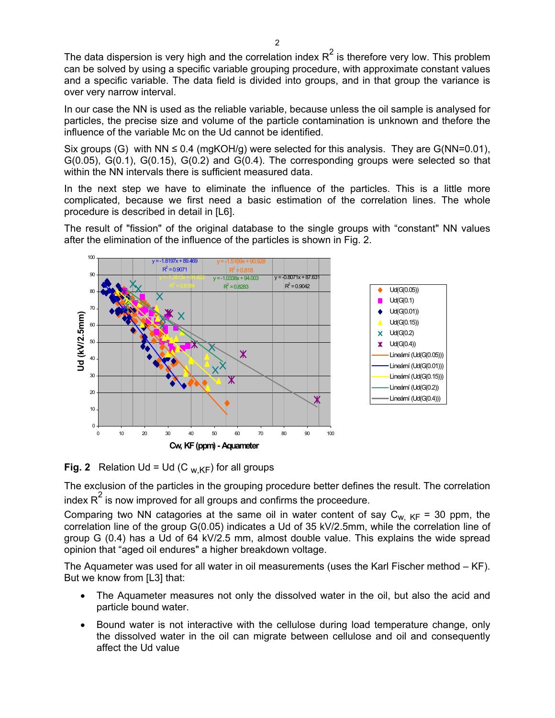The data dispersion is very high and the correlation index  $R^2$  is therefore very low. This problem can be solved by using a specific variable grouping procedure, with approximate constant values and a specific variable. The data field is divided into groups, and in that group the variance is over very narrow interval.

In our case the NN is used as the reliable variable, because unless the oil sample is analysed for particles, the precise size and volume of the particle contamination is unknown and thefore the influence of the variable Mc on the Ud cannot be identified.

Six groups (G) with NN  $\leq$  0.4 (mgKOH/g) were selected for this analysis. They are G(NN=0.01),  $G(0.05)$ ,  $G(0.1)$ ,  $G(0.15)$ ,  $G(0.2)$  and  $G(0.4)$ . The corresponding groups were selected so that within the NN intervals there is sufficient measured data.

In the next step we have to eliminate the influence of the particles. This is a little more complicated, because we first need a basic estimation of the correlation lines. The whole procedure is described in detail in [L6].

The result of "fission" of the original database to the single groups with "constant" NN values after the elimination of the influence of the particles is shown in Fig. 2.



**Fig. 2** Relation Ud = Ud (C  $_{W,KF}$ ) for all groups

The exclusion of the particles in the grouping procedure better defines the result. The correlation index  $R^2$  is now improved for all groups and confirms the proceedure.

Comparing two NN catagories at the same oil in water content of say  $C_{w, KF}$  = 30 ppm, the correlation line of the group G(0.05) indicates a Ud of 35 kV/2.5mm, while the correlation line of group G (0.4) has a Ud of 64 kV/2.5 mm, almost double value. This explains the wide spread opinion that "aged oil endures" a higher breakdown voltage.

The Aquameter was used for all water in oil measurements (uses the Karl Fischer method – KF). But we know from [L3] that:

- The Aquameter measures not only the dissolved water in the oil, but also the acid and particle bound water.
- Bound water is not interactive with the cellulose during load temperature change, only the dissolved water in the oil can migrate between cellulose and oil and consequently affect the Ud value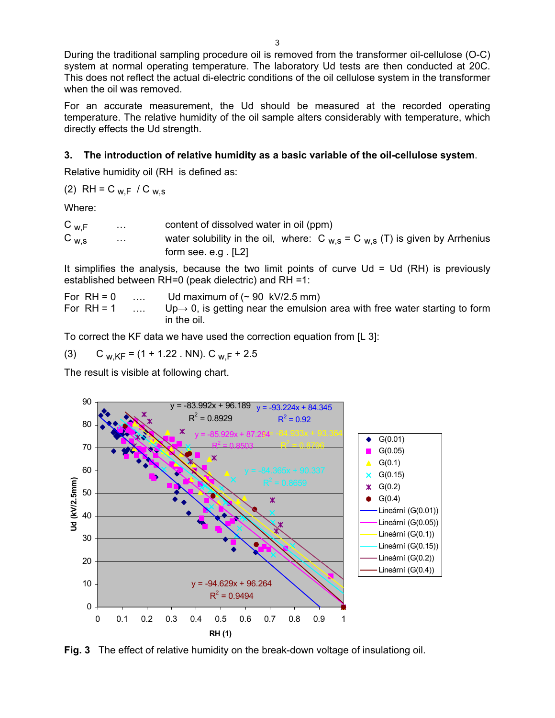During the traditional sampling procedure oil is removed from the transformer oil-cellulose (O-C) system at normal operating temperature. The laboratory Ud tests are then conducted at 20C. This does not reflect the actual di-electric conditions of the oil cellulose system in the transformer when the oil was removed.

For an accurate measurement, the Ud should be measured at the recorded operating temperature. The relative humidity of the oil sample alters considerably with temperature, which directly effects the Ud strength.

## **3. The introduction of relative humidity as a basic variable of the oil-cellulose system**.

Relative humidity oil (RH is defined as:

(2) RH = C w,F / C w,s

Where:

| $C_{W,F}$ | $\sim$ $\sim$ $\sim$ | content of dissolved water in oil (ppm)                                           |
|-----------|----------------------|-----------------------------------------------------------------------------------|
| $C_{W,S}$ | $\sim 100$           | water solubility in the oil, where: $C_{W,S} = C_{W,S}$ (T) is given by Arrhenius |
|           |                      | form see. e.g. $[L2]$                                                             |

It simplifies the analysis, because the two limit points of curve  $Ud = Ud$  (RH) is previously established between RH=0 (peak dielectric) and RH =1:

| For $RH = 0$ |               | Ud maximum of $($ ~ 90 kV/2.5 mm)                                                       |
|--------------|---------------|-----------------------------------------------------------------------------------------|
| For $RH = 1$ | <b>Carlos</b> | $Up \rightarrow 0$ , is getting near the emulsion area with free water starting to form |
|              |               | in the oil.                                                                             |

To correct the KF data we have used the correction equation from [L 3]:

(3) C  $_{W,KF}$  = (1 + 1.22 . NN). C  $_{W,F}$  + 2.5

The result is visible at following chart.



**Fig. 3** The effect of relative humidity on the break-down voltage of insulationg oil.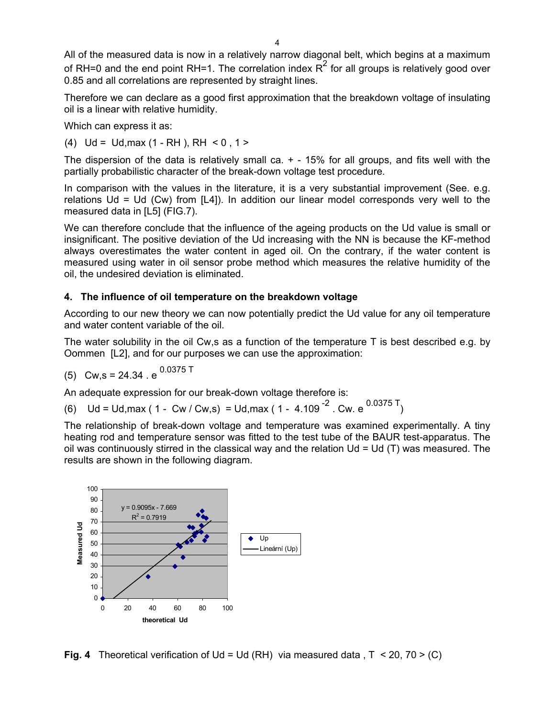All of the measured data is now in a relatively narrow diagonal belt, which begins at a maximum of RH=0 and the end point RH=1. The correlation index  $R^2$  for all groups is relatively good over 0.85 and all correlations are represented by straight lines.

Therefore we can declare as a good first approximation that the breakdown voltage of insulating oil is a linear with relative humidity.

Which can express it as:

(4)  $Ud = Ud,max (1 - RH)$ , RH  $\leq 0.1$ 

The dispersion of the data is relatively small ca.  $+$  - 15% for all groups, and fits well with the partially probabilistic character of the break-down voltage test procedure.

In comparison with the values in the literature, it is a very substantial improvement (See. e.g. relations  $Ud = Ud$  (Cw) from  $[L4]$ ). In addition our linear model corresponds very well to the measured data in [L5] (FIG.7).

We can therefore conclude that the influence of the ageing products on the Ud value is small or insignificant. The positive deviation of the Ud increasing with the NN is because the KF-method always overestimates the water content in aged oil. On the contrary, if the water content is measured using water in oil sensor probe method which measures the relative humidity of the oil, the undesired deviation is eliminated.

#### **4. The influence of oil temperature on the breakdown voltage**

According to our new theory we can now potentially predict the Ud value for any oil temperature and water content variable of the oil.

The water solubility in the oil Cw,s as a function of the temperature T is best described e.g. by Oommen [L2], and for our purposes we can use the approximation:

(5) 
$$
Cw,s = 24.34 \cdot e^{0.0375 \text{ T}}
$$

An adequate expression for our break-down voltage therefore is:

(6)  $Ud = Ud, max (1 - Cw / Cw, s) = Ud, max (1 - 4.109<sup>-2</sup> Cw. e<sup>0.0375 T</sup>)$ 

The relationship of break-down voltage and temperature was examined experimentally. A tiny heating rod and temperature sensor was fitted to the test tube of the BAUR test-apparatus. The oil was continuously stirred in the classical way and the relation  $Ud = Ud(T)$  was measured. The results are shown in the following diagram.



**Fig. 4** Theoretical verification of Ud = Ud (RH) via measured data , T < 20, 70 > (C)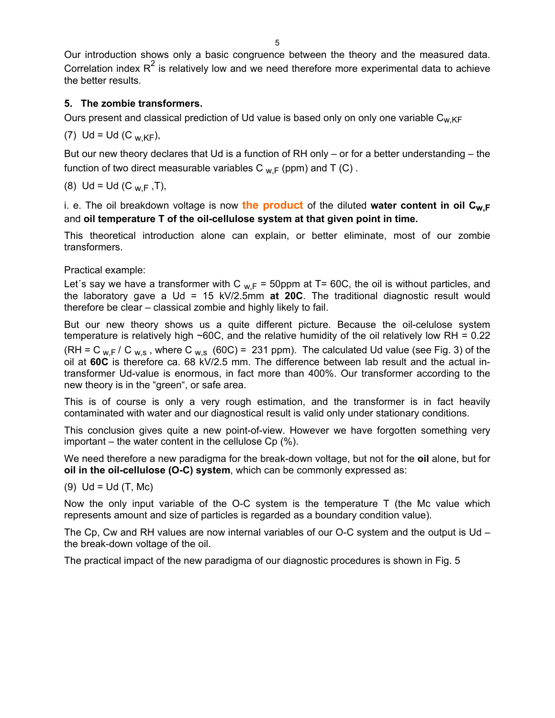Our introduction shows only a basic congruence between the theory and the measured data. Correlation index  $R^2$  is relatively low and we need therefore more experimental data to achieve the better results.

## **5.** The zombie transformers.

Ours present and classical prediction of Ud value is based only on only one variable C<sub>w,KF</sub>

(7) Ud = Ud (C <sub>w KF</sub>),

But our new theory declares that Ud is a function of RH only – or for a better understanding – the function of two direct measurable variables C  $_{W,F}$  (ppm) and T (C).

(8) Ud = Ud (C  $_{\text{W F}}$ , T),

i. e. The oil breakdown voltage is now the product of the diluted water content in oil C<sub>w,F</sub> and **oil temperature T of the oil-cellulose system at that given point in time.**

This theoretical introduction alone can explain, or better eliminate, most of our zombie transformers.

## Practical example:

Let's say we have a transformer with C  $_{w,F}$  = 50ppm at T= 60C, the oil is without particles, and the laboratory gave a Ud = 15 kV/2.5mm **at 20C**. The traditional diagnostic result would therefore be clear – classical zombie and highly likely to fail.

But our new theory shows us a quite different picture. Because the oil-celulose system oil at 60C is therefore ca. 68 kV/2.5 mm. The difference between lab result and the actual intemperature is relatively high  $\sim$  60C, and the relative humidity of the oil relatively low RH = 0.22 (RH = C  $_{\text{w.F}}$  / C  $_{\text{w.s}}$ , where C  $_{\text{w.s}}$  (60C) = 231 ppm). The calculated Ud value (see Fig. 3) of the transformer Ud-value is enormous, in fact more than 400%. Our transformer according to the new theory is in the "green", or safe area.

This is of course is only a very rough estimation, and the transformer is in fact heavily contaminated with water and our diagnostical result is valid only under stationary conditions.

This conclusion gives quite a new point-of-view. However we have forgotten something very important – the water content in the cellulose  $Cp$  (%).

We need therefore a new paradigma for the break-down voltage, but not for the oil alone, but for **oil in the oil-cellulose (O-C) system**, which can be commonly expressed as:

 $(9)$  Ud = Ud  $(T, Mc)$ 

Now the only input variable of the O-C system is the temperature  $T$  (the Mc value which represents amount and size of particles is regarded as a boundary condition value).

The Cp, Cw and RH values are now internal variables of our O-C system and the output is Ud  $$ the break-down voltage of the oil.

The practical impact of the new paradigma of our diagnostic procedures is shown in Fig. 5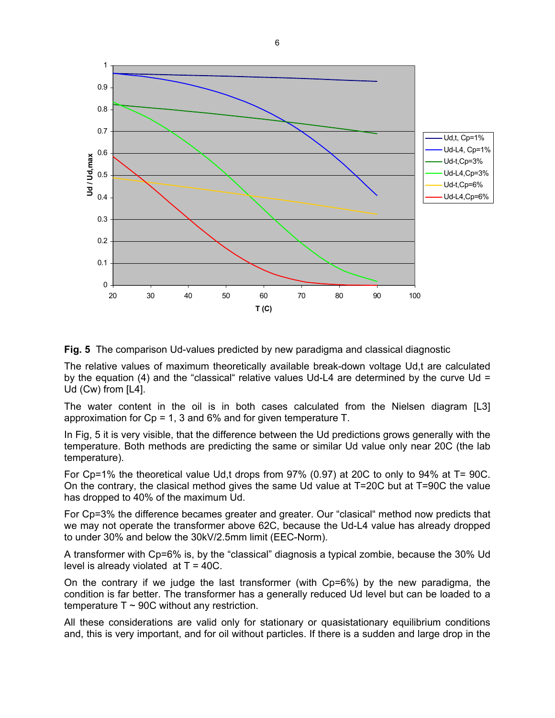

**Fig. 5** The comparison Ud-values predicted by new paradigma and classical diagnostic

The relative values of maximum theoretically available break-down voltage Ud,t are calculated by the equation (4) and the "classical" relative values Ud-L4 are determined by the curve Ud = Ud (Cw) from [L4].

The water content in the oil is in both cases calculated from the Nielsen diagram [L3] approximation for  $Cp = 1$ , 3 and 6% and for given temperature T.

In Fig, 5 it is very visible, that the difference between the Ud predictions grows generally with the temperature. Both methods are predicting the same or similar Ud value only near 20C (the lab temperature).

For Cp=1% the theoretical value Ud,t drops from 97% (0.97) at 20C to only to 94% at T= 90C. On the contrary, the clasical method gives the same Ud value at T=20C but at T=90C the value has dropped to 40% of the maximum Ud.

For Cp=3% the difference becames greater and greater. Our "clasical" method now predicts that we may not operate the transformer above 62C, because the Ud-L4 value has already dropped to under 30% and below the 30kV/2.5mm limit (EEC-Norm).

A transformer with Cp=6% is, by the "classical" diagnosis a typical zombie, because the 30% Ud level is already violated at  $T = 40C$ .

On the contrary if we judge the last transformer (with Cp=6%) by the new paradigma, the condition is far better. The transformer has a generally reduced Ud level but can be loaded to a temperature  $T \sim 90C$  without any restriction.

All these considerations are valid only for stationary or quasistationary equilibrium conditions and, this is very important, and for oil without particles. If there is a sudden and large drop in the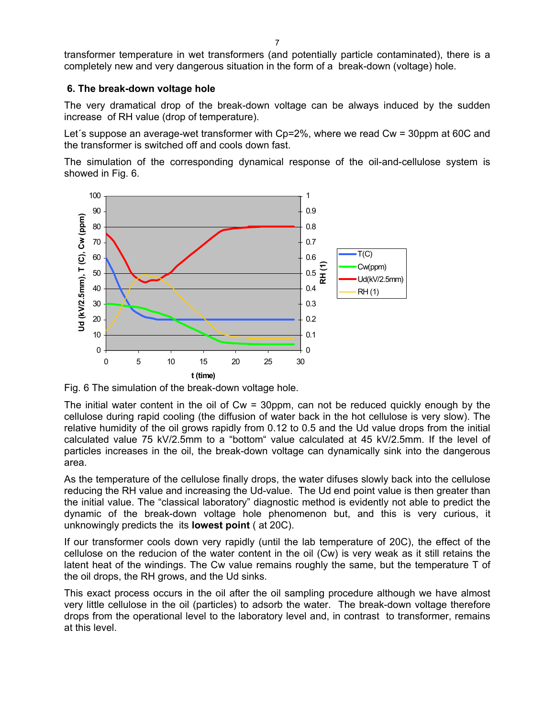transformer temperature in wet transformers (and potentially particle contaminated), there is a completely new and very dangerous situation in the form of a break-down (voltage) hole.

#### **6. The break-down voltage hole**

The very dramatical drop of the break-down voltage can be always induced by the sudden increase of RH value (drop of temperature).

Let´s suppose an average-wet transformer with Cp=2%, where we read Cw = 30ppm at 60C and the transformer is switched off and cools down fast.

The simulation of the corresponding dynamical response of the oil-and-cellulose system is showed in Fig. 6.



Fig. 6 The simulation of the break-down voltage hole.

The initial water content in the oil of Cw = 30ppm, can not be reduced quickly enough by the cellulose during rapid cooling (the diffusion of water back in the hot cellulose is very slow). The relative humidity of the oil grows rapidly from 0.12 to 0.5 and the Ud value drops from the initial calculated value 75 kV/2.5mm to a "bottom" value calculated at 45 kV/2.5mm. If the level of particles increases in the oil, the break-down voltage can dynamically sink into the dangerous area.

As the temperature of the cellulose finally drops, the water difuses slowly back into the cellulose reducing the RH value and increasing the Ud-value. The Ud end point value is then greater than the initial value. The "classical laboratory" diagnostic method is evidently not able to predict the dynamic of the break-down voltage hole phenomenon but, and this is very curious, it unknowingly predicts the its **lowest point** ( at 20C).

If our transformer cools down very rapidly (until the lab temperature of 20C), the effect of the cellulose on the reducion of the water content in the oil (Cw) is very weak as it still retains the latent heat of the windings. The Cw value remains roughly the same, but the temperature T of the oil drops, the RH grows, and the Ud sinks.

This exact process occurs in the oil after the oil sampling procedure although we have almost very little cellulose in the oil (particles) to adsorb the water. The break-down voltage therefore drops from the operational level to the laboratory level and, in contrast to transformer, remains at this level.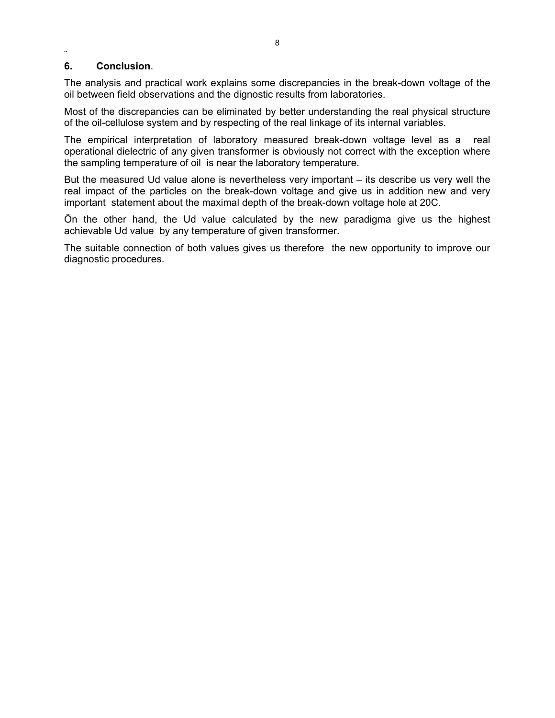#### ¨ **6. Conclusion**.

The analysis and practical work explains some discrepancies in the break-down voltage of the oil between field observations and the dignostic results from laboratories.

Most of the discrepancies can be eliminated by better understanding the real physical structure of the oil-cellulose system and by respecting of the real linkage of its internal variables.

The empirical interpretation of laboratory measured break-down voltage level as a real operational dielectric of any given transformer is obviously not correct with the exception where the sampling temperature of oil is near the laboratory temperature.

But the measured Ud value alone is nevertheless very important – its describe us very well the real impact of the particles on the break-down voltage and give us in addition new and very important statement about the maximal depth of the break-down voltage hole at 20C.

Ön the other hand, the Ud value calculated by the new paradigma give us the highest achievable Ud value by any temperature of given transformer.

The suitable connection of both values gives us therefore the new opportunity to improve our diagnostic procedures.